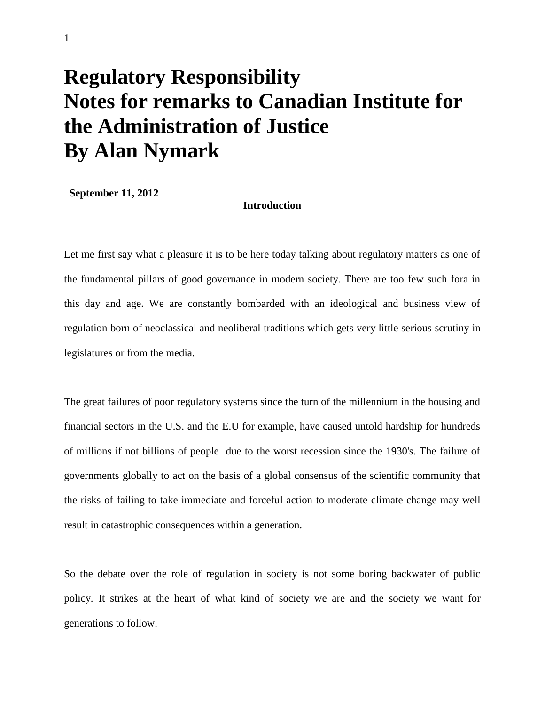# **Regulatory Responsibility Notes for remarks to Canadian Institute for the Administration of Justice By Alan Nymark**

**September 11, 2012**

## **Introduction**

Let me first say what a pleasure it is to be here today talking about regulatory matters as one of the fundamental pillars of good governance in modern society. There are too few such fora in this day and age. We are constantly bombarded with an ideological and business view of regulation born of neoclassical and neoliberal traditions which gets very little serious scrutiny in legislatures or from the media.

The great failures of poor regulatory systems since the turn of the millennium in the housing and financial sectors in the U.S. and the E.U for example, have caused untold hardship for hundreds of millions if not billions of people due to the worst recession since the 1930's. The failure of governments globally to act on the basis of a global consensus of the scientific community that the risks of failing to take immediate and forceful action to moderate climate change may well result in catastrophic consequences within a generation.

So the debate over the role of regulation in society is not some boring backwater of public policy. It strikes at the heart of what kind of society we are and the society we want for generations to follow.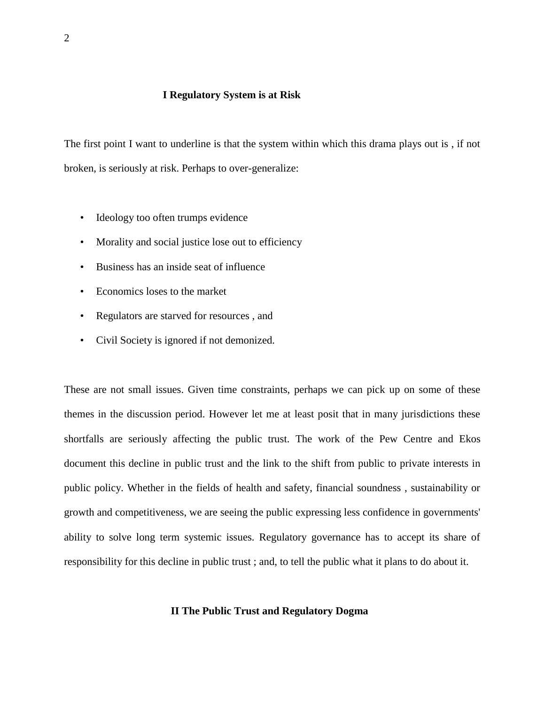### **I Regulatory System is at Risk**

The first point I want to underline is that the system within which this drama plays out is , if not broken, is seriously at risk. Perhaps to over-generalize:

- Ideology too often trumps evidence
- Morality and social justice lose out to efficiency
- Business has an inside seat of influence
- Economics loses to the market
- Regulators are starved for resources , and
- Civil Society is ignored if not demonized.

These are not small issues. Given time constraints, perhaps we can pick up on some of these themes in the discussion period. However let me at least posit that in many jurisdictions these shortfalls are seriously affecting the public trust. The work of the Pew Centre and Ekos document this decline in public trust and the link to the shift from public to private interests in public policy. Whether in the fields of health and safety, financial soundness , sustainability or growth and competitiveness, we are seeing the public expressing less confidence in governments' ability to solve long term systemic issues. Regulatory governance has to accept its share of responsibility for this decline in public trust ; and, to tell the public what it plans to do about it.

#### **II The Public Trust and Regulatory Dogma**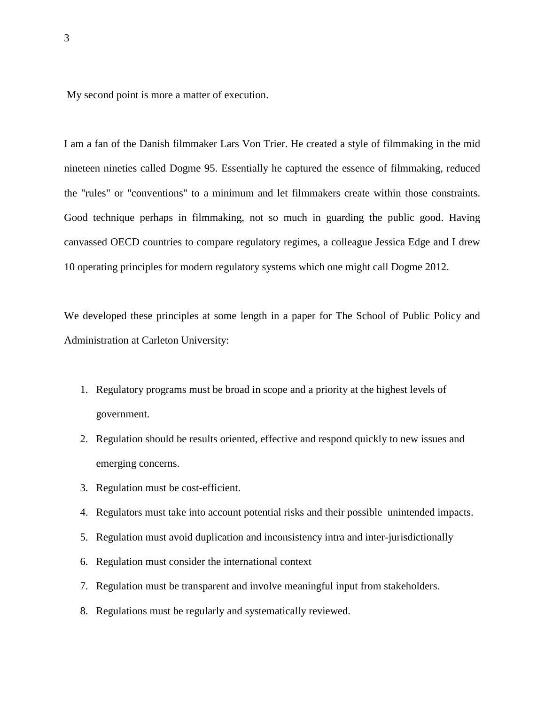My second point is more a matter of execution.

I am a fan of the Danish filmmaker Lars Von Trier. He created a style of filmmaking in the mid nineteen nineties called Dogme 95. Essentially he captured the essence of filmmaking, reduced the "rules" or "conventions" to a minimum and let filmmakers create within those constraints. Good technique perhaps in filmmaking, not so much in guarding the public good. Having canvassed OECD countries to compare regulatory regimes, a colleague Jessica Edge and I drew 10 operating principles for modern regulatory systems which one might call Dogme 2012.

We developed these principles at some length in a paper for The School of Public Policy and Administration at Carleton University:

- 1. Regulatory programs must be broad in scope and a priority at the highest levels of government.
- 2. Regulation should be results oriented, effective and respond quickly to new issues and emerging concerns.
- 3. Regulation must be cost-efficient.
- 4. Regulators must take into account potential risks and their possible unintended impacts.
- 5. Regulation must avoid duplication and inconsistency intra and inter-jurisdictionally
- 6. Regulation must consider the international context
- 7. Regulation must be transparent and involve meaningful input from stakeholders.
- 8. Regulations must be regularly and systematically reviewed.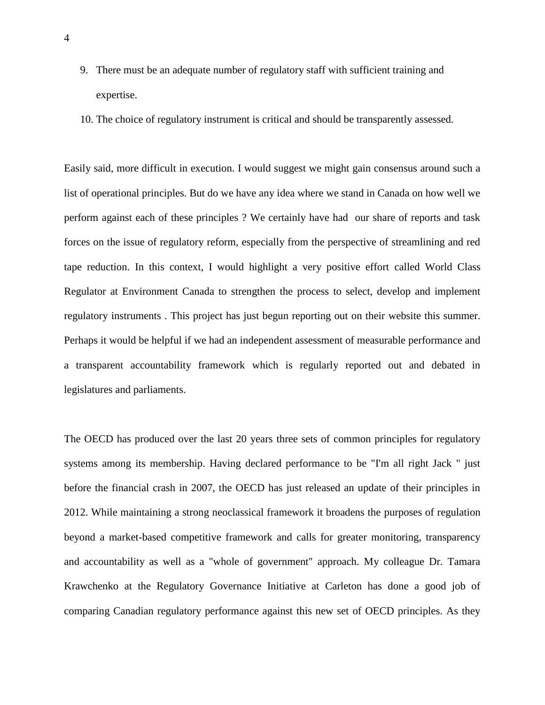- 9. There must be an adequate number of regulatory staff with sufficient training and expertise.
- 10. The choice of regulatory instrument is critical and should be transparently assessed.

Easily said, more difficult in execution. I would suggest we might gain consensus around such a list of operational principles. But do we have any idea where we stand in Canada on how well we perform against each of these principles ? We certainly have had our share of reports and task forces on the issue of regulatory reform, especially from the perspective of streamlining and red tape reduction. In this context, I would highlight a very positive effort called World Class Regulator at Environment Canada to strengthen the process to select, develop and implement regulatory instruments . This project has just begun reporting out on their website this summer. Perhaps it would be helpful if we had an independent assessment of measurable performance and a transparent accountability framework which is regularly reported out and debated in legislatures and parliaments.

The OECD has produced over the last 20 years three sets of common principles for regulatory systems among its membership. Having declared performance to be "I'm all right Jack " just before the financial crash in 2007, the OECD has just released an update of their principles in 2012. While maintaining a strong neoclassical framework it broadens the purposes of regulation beyond a market-based competitive framework and calls for greater monitoring, transparency and accountability as well as a "whole of government" approach. My colleague Dr. Tamara Krawchenko at the Regulatory Governance Initiative at Carleton has done a good job of comparing Canadian regulatory performance against this new set of OECD principles. As they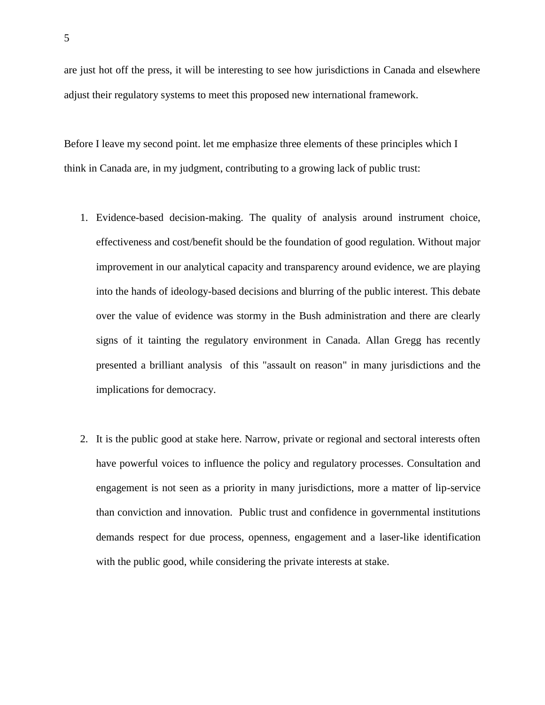are just hot off the press, it will be interesting to see how jurisdictions in Canada and elsewhere adjust their regulatory systems to meet this proposed new international framework.

Before I leave my second point. let me emphasize three elements of these principles which I think in Canada are, in my judgment, contributing to a growing lack of public trust:

- 1. Evidence-based decision-making. The quality of analysis around instrument choice, effectiveness and cost/benefit should be the foundation of good regulation. Without major improvement in our analytical capacity and transparency around evidence, we are playing into the hands of ideology-based decisions and blurring of the public interest. This debate over the value of evidence was stormy in the Bush administration and there are clearly signs of it tainting the regulatory environment in Canada. Allan Gregg has recently presented a brilliant analysis of this "assault on reason" in many jurisdictions and the implications for democracy.
- 2. It is the public good at stake here. Narrow, private or regional and sectoral interests often have powerful voices to influence the policy and regulatory processes. Consultation and engagement is not seen as a priority in many jurisdictions, more a matter of lip-service than conviction and innovation. Public trust and confidence in governmental institutions demands respect for due process, openness, engagement and a laser-like identification with the public good, while considering the private interests at stake.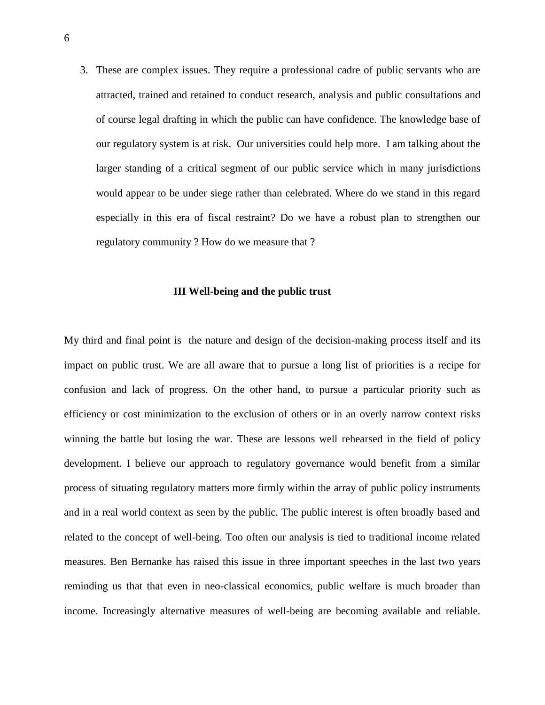3. These are complex issues. They require a professional cadre of public servants who are attracted, trained and retained to conduct research, analysis and public consultations and of course legal drafting in which the public can have confidence. The knowledge base of our regulatory system is at risk. Our universities could help more. I am talking about the larger standing of a critical segment of our public service which in many jurisdictions would appear to be under siege rather than celebrated. Where do we stand in this regard especially in this era of fiscal restraint? Do we have a robust plan to strengthen our regulatory community ? How do we measure that ?

#### **III Well-being and the public trust**

My third and final point is the nature and design of the decision-making process itself and its impact on public trust. We are all aware that to pursue a long list of priorities is a recipe for confusion and lack of progress. On the other hand, to pursue a particular priority such as efficiency or cost minimization to the exclusion of others or in an overly narrow context risks winning the battle but losing the war. These are lessons well rehearsed in the field of policy development. I believe our approach to regulatory governance would benefit from a similar process of situating regulatory matters more firmly within the array of public policy instruments and in a real world context as seen by the public. The public interest is often broadly based and related to the concept of well-being. Too often our analysis is tied to traditional income related measures. Ben Bernanke has raised this issue in three important speeches in the last two years reminding us that that even in neo-classical economics, public welfare is much broader than income. Increasingly alternative measures of well-being are becoming available and reliable.